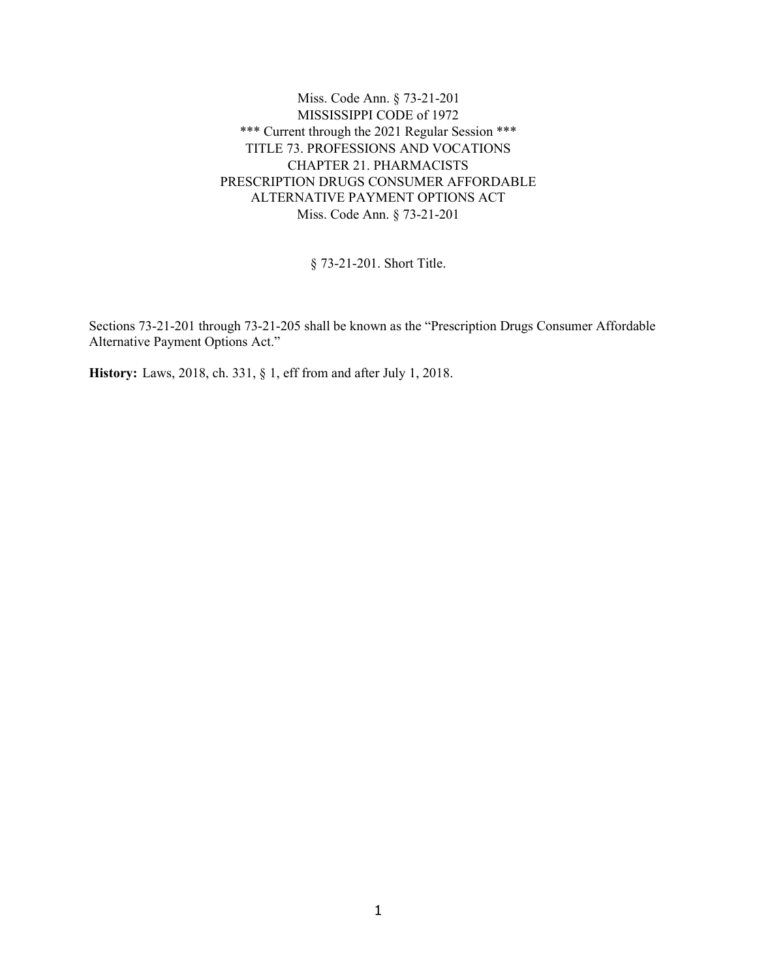Miss. Code Ann. § 73-21-201 MISSISSIPPI CODE of 1972 \*\*\* Current through the 2021 Regular Session \*\*\* TITLE 73. PROFESSIONS AND VOCATIONS CHAPTER 21. PHARMACISTS PRESCRIPTION DRUGS CONSUMER AFFORDABLE ALTERNATIVE PAYMENT OPTIONS ACT Miss. Code Ann. § 73-21-201

§ 73-21-201. Short Title.

Sections 73-21-201 through 73-21-205 shall be known as the "Prescription Drugs Consumer Affordable Alternative Payment Options Act."

**History:** Laws, 2018, ch. 331, § 1, eff from and after July 1, 2018.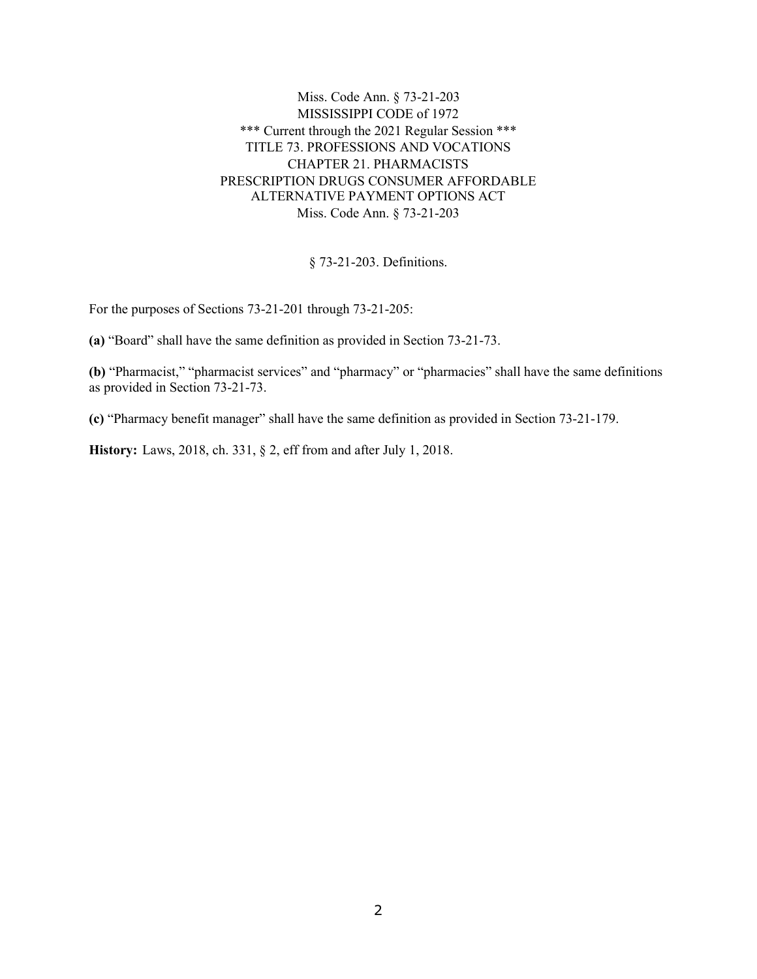Miss. Code Ann. § 73-21-203 MISSISSIPPI CODE of 1972 \*\*\* Current through the 2021 Regular Session \*\*\* TITLE 73. PROFESSIONS AND VOCATIONS CHAPTER 21. PHARMACISTS PRESCRIPTION DRUGS CONSUMER AFFORDABLE ALTERNATIVE PAYMENT OPTIONS ACT Miss. Code Ann. § 73-21-203

§ 73-21-203. Definitions.

For the purposes of Sections 73-21-201 through 73-21-205:

**(a)** "Board" shall have the same definition as provided in Section 73-21-73.

**(b)** "Pharmacist," "pharmacist services" and "pharmacy" or "pharmacies" shall have the same definitions as provided in Section 73-21-73.

**(c)** "Pharmacy benefit manager" shall have the same definition as provided in Section 73-21-179.

**History:** Laws, 2018, ch. 331, § 2, eff from and after July 1, 2018.